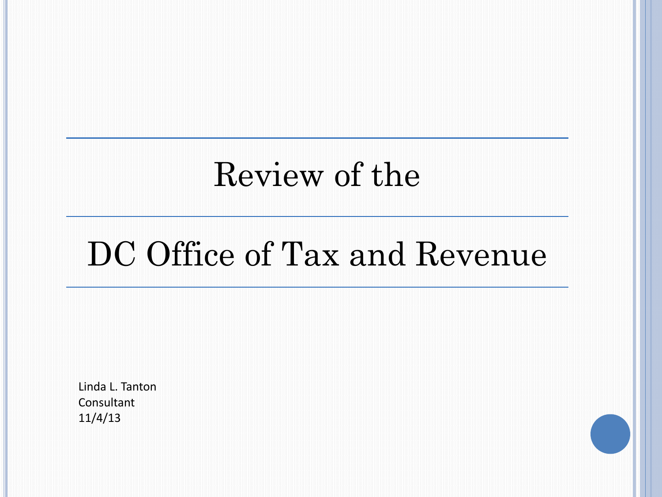## Review of the

# DC Office of Tax and Revenue

Linda L. Tanton Consultant 11/4/13

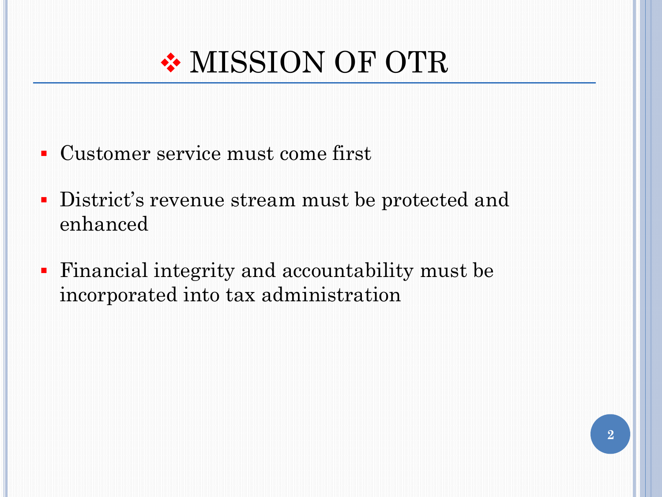

- Customer service must come first
- District's revenue stream must be protected and enhanced
- Financial integrity and accountability must be incorporated into tax administration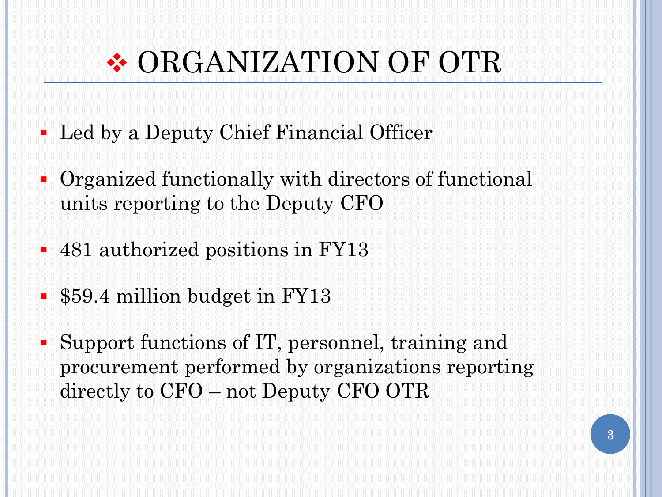## ORGANIZATION OF OTR

- Led by a Deputy Chief Financial Officer
- Organized functionally with directors of functional units reporting to the Deputy CFO
- 481 authorized positions in FY13
- \$59.4 million budget in FY13
- Support functions of IT, personnel, training and procurement performed by organizations reporting directly to CFO – not Deputy CFO OTR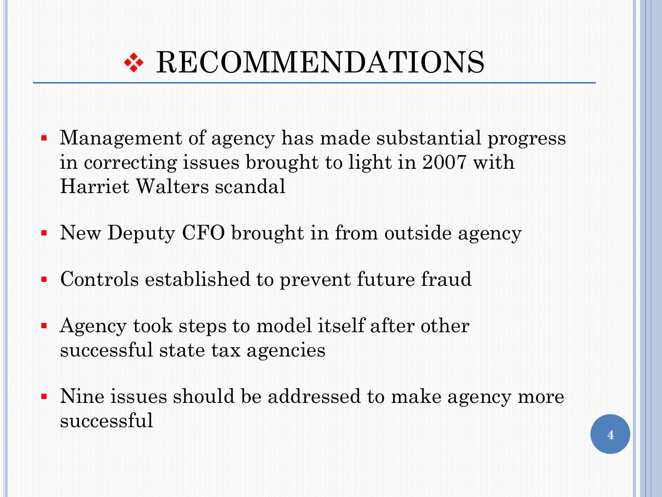

- Management of agency has made substantial progress in correcting issues brought to light in 2007 with Harriet Walters scandal
- New Deputy CFO brought in from outside agency
- Controls established to prevent future fraud
- Agency took steps to model itself after other successful state tax agencies
- Nine issues should be addressed to make agency more successful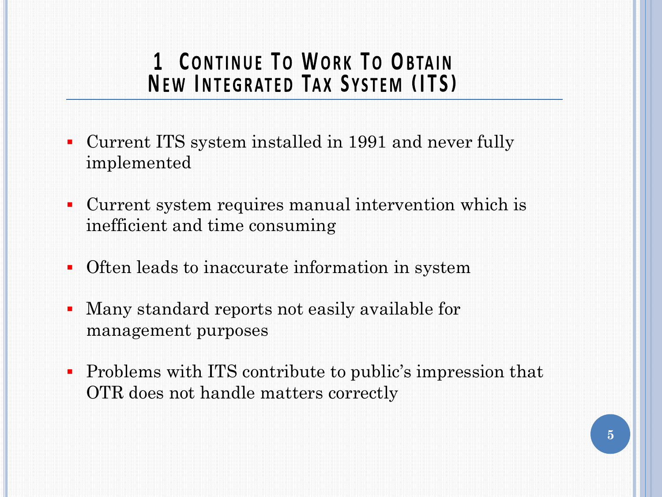### **1 CONTINUE TO WORK TO OBTAIN NEW INTEGRATED TAX SYSTEM (ITS)**

- Current ITS system installed in 1991 and never fully implemented
- Current system requires manual intervention which is inefficient and time consuming
- Often leads to inaccurate information in system
- Many standard reports not easily available for management purposes
- Problems with ITS contribute to public's impression that OTR does not handle matters correctly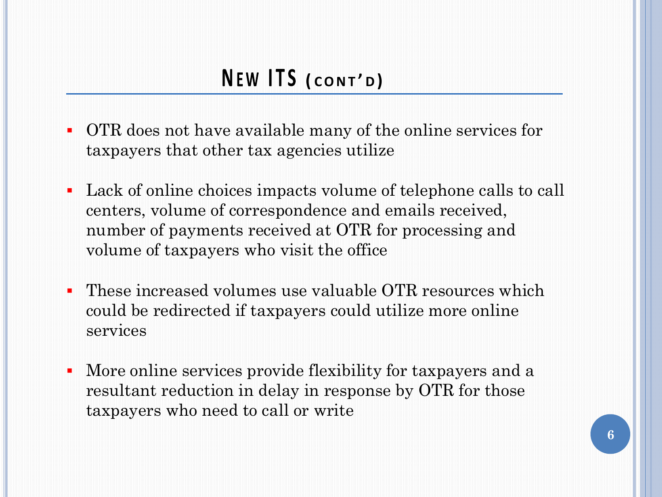- OTR does not have available many of the online services for taxpayers that other tax agencies utilize
- Lack of online choices impacts volume of telephone calls to call centers, volume of correspondence and emails received, number of payments received at OTR for processing and volume of taxpayers who visit the office
- These increased volumes use valuable OTR resources which could be redirected if taxpayers could utilize more online services
- More online services provide flexibility for taxpayers and a resultant reduction in delay in response by OTR for those taxpayers who need to call or write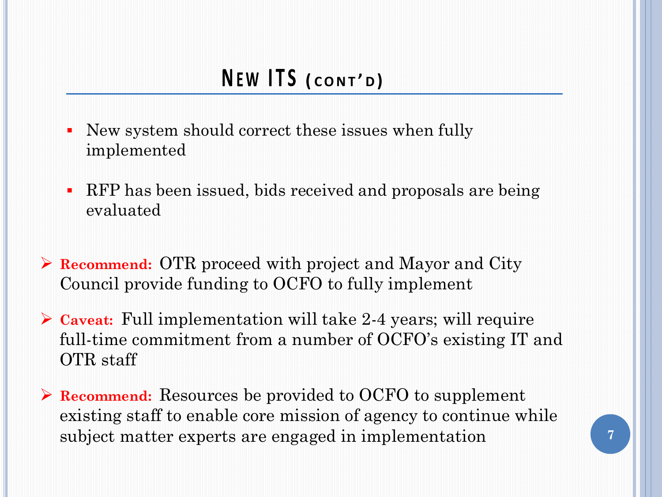- New system should correct these issues when fully implemented
- RFP has been issued, bids received and proposals are being evaluated
- **Recommend:** OTR proceed with project and Mayor and City Council provide funding to OCFO to fully implement
- **Caveat:** Full implementation will take 2-4 years; will require full-time commitment from a number of OCFO's existing IT and OTR staff
- **Recommend:** Resources be provided to OCFO to supplement existing staff to enable core mission of agency to continue while subject matter experts are engaged in implementation **7**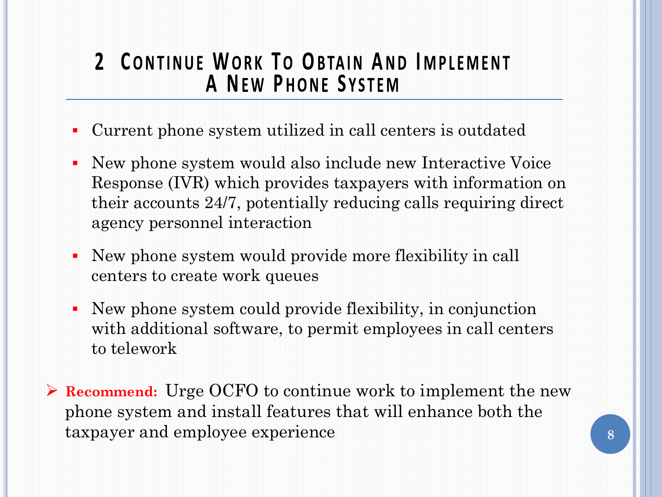### 2 CONTINUE WORK TO OBTAIN AND IMPLEMENT **A NEW PHONE SYSTEM**

- Current phone system utilized in call centers is outdated
- New phone system would also include new Interactive Voice Response (IVR) which provides taxpayers with information on their accounts 24/7, potentially reducing calls requiring direct agency personnel interaction
- New phone system would provide more flexibility in call centers to create work queues
- New phone system could provide flexibility, in conjunction with additional software, to permit employees in call centers to telework
- **Recommend:** Urge OCFO to continue work to implement the new phone system and install features that will enhance both the taxpayer and employee experience **8**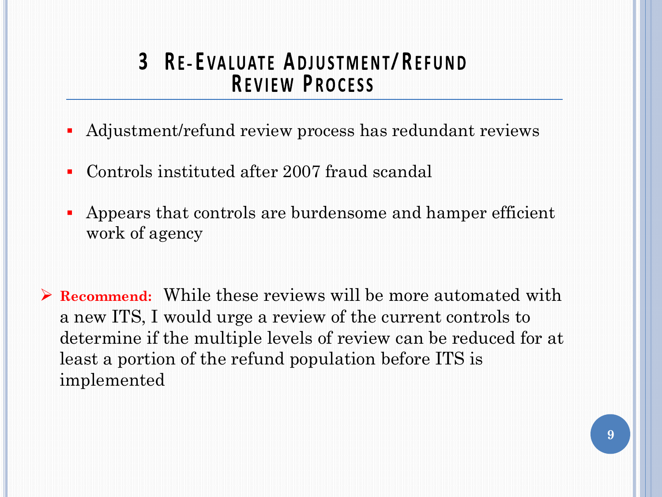#### **3** RE-EVALUATE ADJUSTMENT/REFUND **REVIEW PROCESS**

- Adjustment/refund review process has redundant reviews
- Controls instituted after 2007 fraud scandal
- Appears that controls are burdensome and hamper efficient work of agency
- **Recommend:** While these reviews will be more automated with a new ITS, I would urge a review of the current controls to determine if the multiple levels of review can be reduced for at least a portion of the refund population before ITS is implemented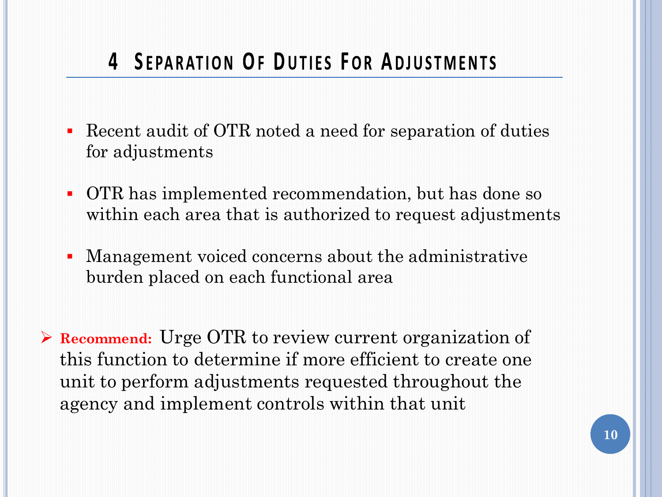## **4 SEPARATION OF DUTIES FOR ADJUSTMENTS**

- Recent audit of OTR noted a need for separation of duties for adjustments
- OTR has implemented recommendation, but has done so within each area that is authorized to request adjustments
- Management voiced concerns about the administrative burden placed on each functional area

 **Recommend:** Urge OTR to review current organization of this function to determine if more efficient to create one unit to perform adjustments requested throughout the agency and implement controls within that unit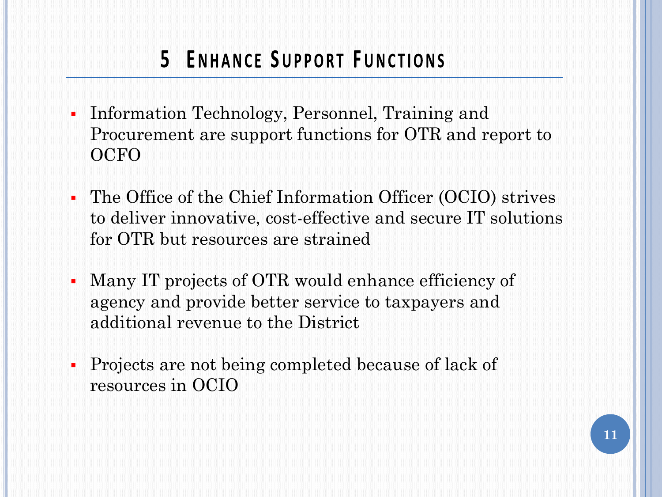## **5 ENHANCE SUPPORT FUNCTIONS**

- Information Technology, Personnel, Training and Procurement are support functions for OTR and report to **OCFO**
- The Office of the Chief Information Officer (OCIO) strives to deliver innovative, cost-effective and secure IT solutions for OTR but resources are strained
- Many IT projects of OTR would enhance efficiency of agency and provide better service to taxpayers and additional revenue to the District
- Projects are not being completed because of lack of resources in OCIO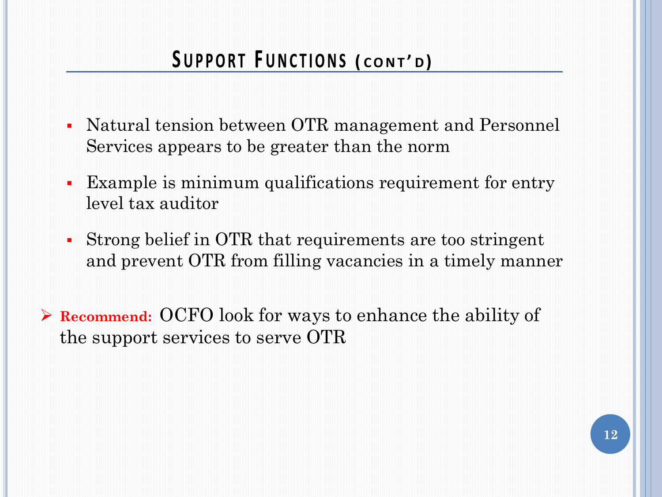### SUPPORT FUNCTIONS (CONT'D)

- Natural tension between OTR management and Personnel Services appears to be greater than the norm
- Example is minimum qualifications requirement for entry level tax auditor
- Strong belief in OTR that requirements are too stringent and prevent OTR from filling vacancies in a timely manner
- **Recommend:** OCFO look for ways to enhance the ability of the support services to serve OTR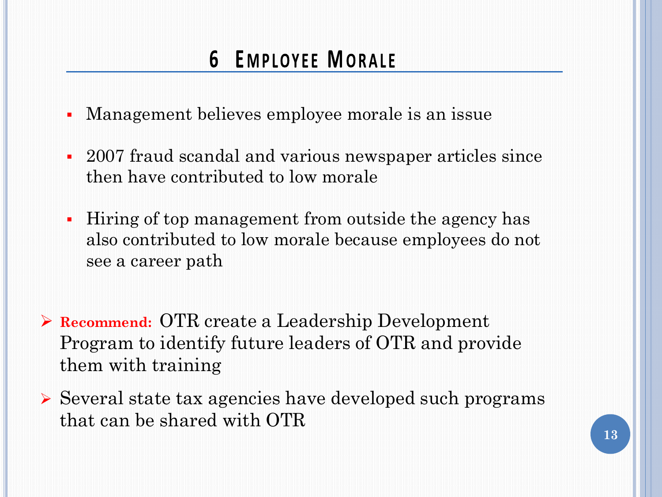## **6 EMPLOYEE MORALE**

- Management believes employee morale is an issue
- 2007 fraud scandal and various newspaper articles since then have contributed to low morale
- Hiring of top management from outside the agency has also contributed to low morale because employees do not see a career path
- **Recommend:** OTR create a Leadership Development Program to identify future leaders of OTR and provide them with training
- Several state tax agencies have developed such programs that can be shared with OTR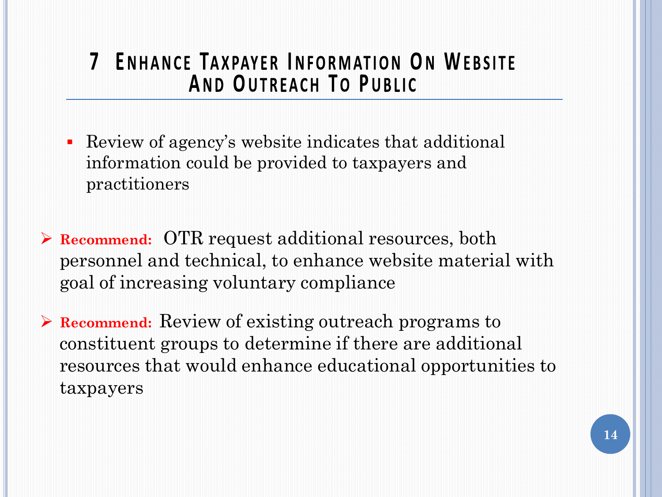#### 7 ENHANCE TAXPAYER INFORMATION ON WEBSITE AND OUTREACH TO PUBLIC

- Review of agency's website indicates that additional information could be provided to taxpayers and practitioners
- **Recommend:** OTR request additional resources, both personnel and technical, to enhance website material with goal of increasing voluntary compliance
- **Recommend:** Review of existing outreach programs to constituent groups to determine if there are additional resources that would enhance educational opportunities to taxpayers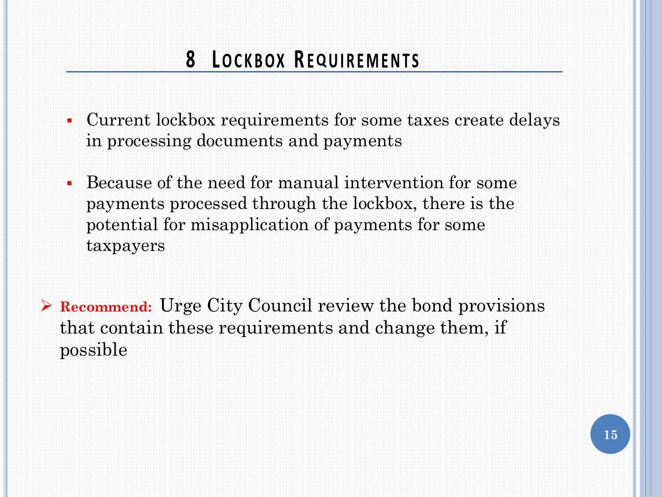## **8 LOCKBOX REQUIREMENTS**

- Current lockbox requirements for some taxes create delays in processing documents and payments
- Because of the need for manual intervention for some payments processed through the lockbox, there is the potential for misapplication of payments for some taxpayers
- **Recommend:** Urge City Council review the bond provisions that contain these requirements and change them, if possible